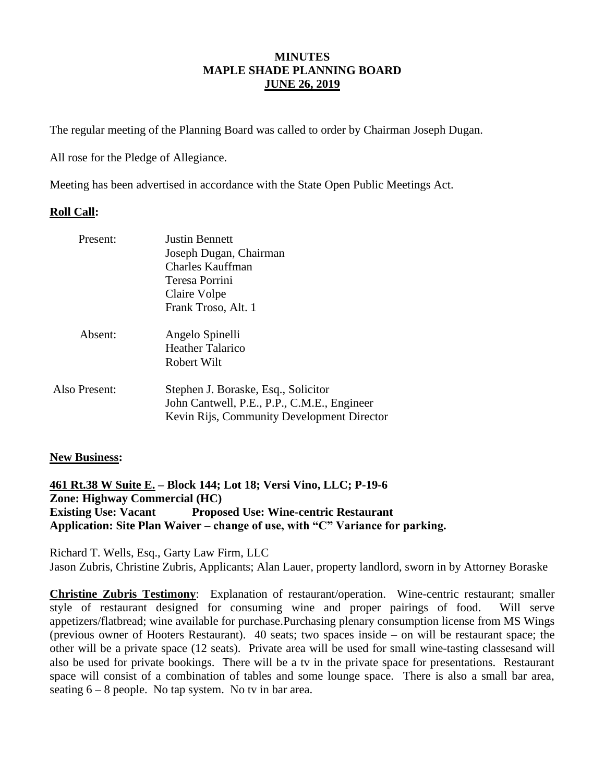### **MINUTES MAPLE SHADE PLANNING BOARD JUNE 26, 2019**

The regular meeting of the Planning Board was called to order by Chairman Joseph Dugan.

All rose for the Pledge of Allegiance.

Meeting has been advertised in accordance with the State Open Public Meetings Act.

### **Roll Call:**

| Present:      | <b>Justin Bennett</b><br>Joseph Dugan, Chairman<br>Charles Kauffman<br>Teresa Porrini<br>Claire Volpe<br>Frank Troso, Alt. 1     |
|---------------|----------------------------------------------------------------------------------------------------------------------------------|
| Absent:       | Angelo Spinelli<br><b>Heather Talarico</b><br>Robert Wilt                                                                        |
| Also Present: | Stephen J. Boraske, Esq., Solicitor<br>John Cantwell, P.E., P.P., C.M.E., Engineer<br>Kevin Rijs, Community Development Director |

#### **New Business:**

**461 Rt.38 W Suite E. – Block 144; Lot 18; Versi Vino, LLC; P-19-6 Zone: Highway Commercial (HC) Existing Use: Vacant Proposed Use: Wine-centric Restaurant Application: Site Plan Waiver – change of use, with "C" Variance for parking.**

Richard T. Wells, Esq., Garty Law Firm, LLC Jason Zubris, Christine Zubris, Applicants; Alan Lauer, property landlord, sworn in by Attorney Boraske

**Christine Zubris Testimony**: Explanation of restaurant/operation. Wine-centric restaurant; smaller style of restaurant designed for consuming wine and proper pairings of food. Will serve appetizers/flatbread; wine available for purchase.Purchasing plenary consumption license from MS Wings (previous owner of Hooters Restaurant). 40 seats; two spaces inside – on will be restaurant space; the other will be a private space (12 seats). Private area will be used for small wine-tasting classesand will also be used for private bookings. There will be a tv in the private space for presentations. Restaurant space will consist of a combination of tables and some lounge space. There is also a small bar area, seating  $6 - 8$  people. No tap system. No tv in bar area.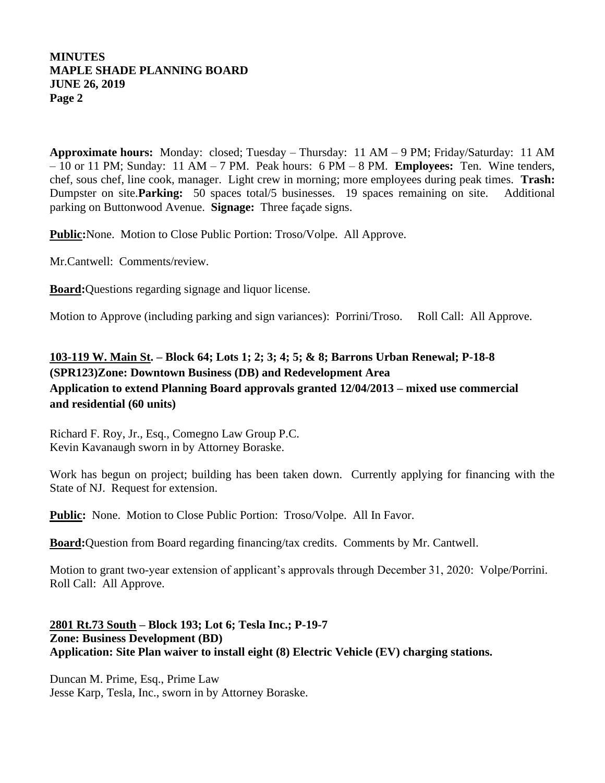# **MINUTES MAPLE SHADE PLANNING BOARD JUNE 26, 2019 Page 2**

**Approximate hours:** Monday: closed; Tuesday – Thursday: 11 AM – 9 PM; Friday/Saturday: 11 AM – 10 or 11 PM; Sunday: 11 AM – 7 PM. Peak hours: 6 PM – 8 PM. **Employees:** Ten. Wine tenders, chef, sous chef, line cook, manager. Light crew in morning; more employees during peak times. **Trash:** Dumpster on site.**Parking:** 50 spaces total/5 businesses. 19 spaces remaining on site. Additional parking on Buttonwood Avenue. **Signage:** Three façade signs.

**Public:**None. Motion to Close Public Portion: Troso/Volpe. All Approve.

Mr.Cantwell: Comments/review.

**Board:**Questions regarding signage and liquor license.

Motion to Approve (including parking and sign variances): Porrini/Troso. Roll Call: All Approve.

# **103-119 W. Main St. – Block 64; Lots 1; 2; 3; 4; 5; & 8; Barrons Urban Renewal; P-18-8 (SPR123)Zone: Downtown Business (DB) and Redevelopment Area Application to extend Planning Board approvals granted 12/04/2013 – mixed use commercial and residential (60 units)**

Richard F. Roy, Jr., Esq., Comegno Law Group P.C. Kevin Kavanaugh sworn in by Attorney Boraske.

Work has begun on project; building has been taken down. Currently applying for financing with the State of NJ. Request for extension.

Public: None. Motion to Close Public Portion: Troso/Volpe. All In Favor.

**Board:**Question from Board regarding financing/tax credits. Comments by Mr. Cantwell.

Motion to grant two-year extension of applicant's approvals through December 31, 2020: Volpe/Porrini. Roll Call: All Approve.

### **2801 Rt.73 South – Block 193; Lot 6; Tesla Inc.; P-19-7 Zone: Business Development (BD) Application: Site Plan waiver to install eight (8) Electric Vehicle (EV) charging stations.**

Duncan M. Prime, Esq., Prime Law Jesse Karp, Tesla, Inc., sworn in by Attorney Boraske.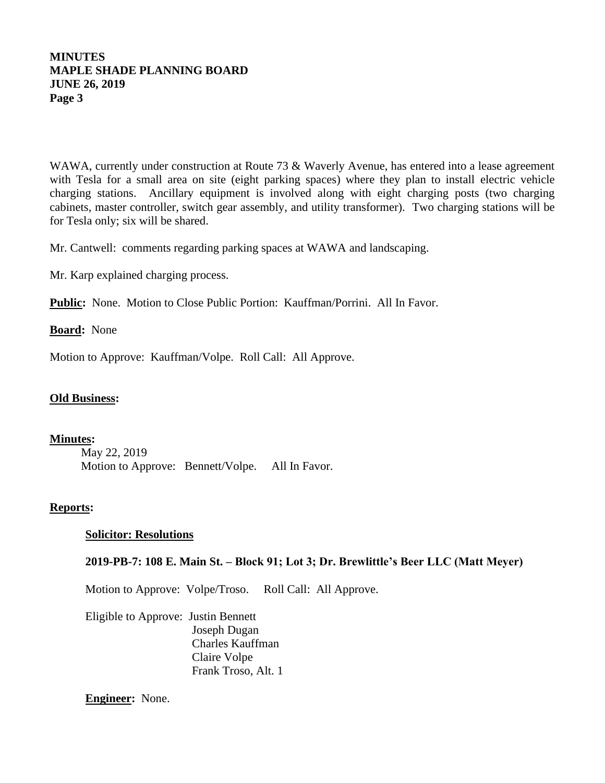# **MINUTES MAPLE SHADE PLANNING BOARD JUNE 26, 2019 Page 3**

WAWA, currently under construction at Route 73 & Waverly Avenue, has entered into a lease agreement with Tesla for a small area on site (eight parking spaces) where they plan to install electric vehicle charging stations. Ancillary equipment is involved along with eight charging posts (two charging cabinets, master controller, switch gear assembly, and utility transformer). Two charging stations will be for Tesla only; six will be shared.

Mr. Cantwell: comments regarding parking spaces at WAWA and landscaping.

Mr. Karp explained charging process.

Public: None. Motion to Close Public Portion: Kauffman/Porrini. All In Favor.

**Board:** None

Motion to Approve: Kauffman/Volpe. Roll Call: All Approve.

#### **Old Business:**

#### **Minutes:**

May 22, 2019 Motion to Approve: Bennett/Volpe. All In Favor.

#### **Reports:**

#### **Solicitor: Resolutions**

#### **2019-PB-7: 108 E. Main St. – Block 91; Lot 3; Dr. Brewlittle's Beer LLC (Matt Meyer)**

Motion to Approve: Volpe/Troso. Roll Call: All Approve.

Eligible to Approve: Justin Bennett Joseph Dugan Charles Kauffman Claire Volpe Frank Troso, Alt. 1

**Engineer:** None.